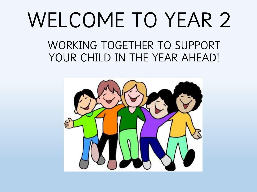# WELCOME TO YEAR 2

WORKING TOGETHER TO SUPPORT YOUR CHILD IN THE YEAR AHEAD!

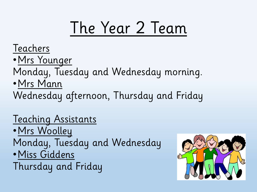## The Year 2 Team

**Teachers** 

- •Mrs Younger
- Monday, Tuesday and Wednesday morning.
- •Mrs Mann
- Wednesday afternoon, Thursday and Friday

#### Teaching Assistants

•Mrs Woolley Monday, Tuesday and Wednesday •Miss Giddens Thursday and Friday

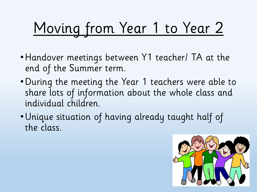# Moving from Year 1 to Year 2

- •Handover meetings between Y1 teacher/ TA at the end of the Summer term.
- •During the meeting the Year 1 teachers were able to share lots of information about the whole class and individual children.
- •Unique situation of having already taught half of the class.

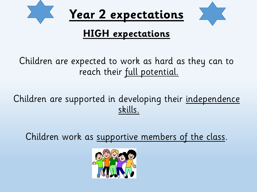

#### **HIGH expectations**

Children are expected to work as hard as they can to reach their full potential.

#### Children are supported in developing their independence skills.

Children work as supportive members of the class.

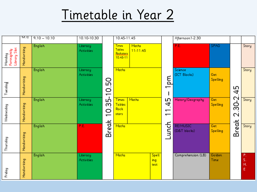### Timetable in Year 2

|                                       | 9-9.10      | $9.10 - 10.10$ | 10.10-10.30            |                                          | 10.45-11.45                                     |                          |                             | Afternoon1-2.30                     |                                 |                        |                     |                     |
|---------------------------------------|-------------|----------------|------------------------|------------------------------------------|-------------------------------------------------|--------------------------|-----------------------------|-------------------------------------|---------------------------------|------------------------|---------------------|---------------------|
| Monday<br>Fortnightly<br>Library Slot | Handwriting | <b>English</b> | Literacy<br>Activities |                                          | <b>Times</b><br>Tables<br>Rockstors<br>10.45-11 | <b>Maths</b><br>11-11.45 |                             |                                     | P.E.                            | <b>SPAG</b>            |                     | Story               |
| Tuesday                               | Handwriting | <b>English</b> | Literacy<br>Activities | 10.50                                    | Maths                                           |                          |                             | md<br>$\overline{\phantom{0}}$      | Science<br>(ICT Blocks)         | Get<br><b>Spelling</b> | 45                  | Story               |
| Wednesday                             | Handwriting | <b>English</b> | Literacy<br>Activities | ഹ്<br>ო<br>O<br>$\overline{\phantom{0}}$ | <b>Times</b><br><b>Tables</b><br>Rock<br>stars  | Maths                    |                             | 45<br>ᡪ<br>$\overline{\phantom{0}}$ | History/Geography               | Get<br>Spelling        | 30-2<br>$\mathbf 2$ | Story               |
| Thursday                              | Handwriting | <b>English</b> | P.E.                   | Break                                    | Maths                                           |                          |                             | unch                                | <b>RE/MUSIC</b><br>(D&T blocks) | Get<br><b>Spelling</b> | Break               | Story               |
| Friday                                | Handwriting | <b>English</b> | Literacy<br>Activities |                                          | Maths                                           |                          | <b>Spell</b><br>ing<br>test |                                     | Comprehension (LB)              | Golden<br>Time         |                     | P.<br>s.<br>Η.<br>E |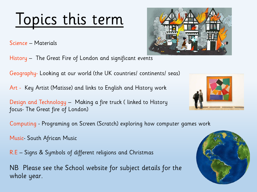### Topics this term

Science – Materials

History – The Great Fire of London and significant events

Geography- Looking at our world (the UK countries/ continents/ seas)

Art - Key Artist (Matisse) and links to English and History work

Design and Technology – Making a fire truck ( linked to History focus- The Great fire of London)

Computing - Programing on Screen (Scratch) exploring how computer games work

Music- South African Music

R.E – Signs & Symbols of different religions and Christmas

NB Please see the School website for subject details for the whole year.





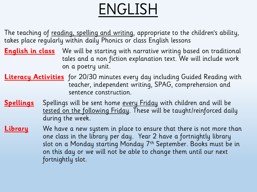## ENGLISH

The teaching of reading, spelling and writing, appropriate to the children's ability, takes place regularly within daily Phonics or class English lessons

- **English in class** We will be starting with narrative writing based on traditional tales and a non fiction explanation text. We will include work on a poetry unit.
- **Literacy Activities** for 20/30 minutes every day including Guided Reading with teacher, independent writing, SPAG, comprehension and sentence construction.
- **Spellings** Spellings will be sent home every Friday with children and will be tested on the following Friday. These will be taught/reinforced daily during the week.
- **Library** We have a new system in place to ensure that there is not more than one class in the library per day. Year 2 have a fortnightly library slot on a Monday starting Monday 7th September. Books must be in on this day or we will not be able to change them until our next fortnightly slot.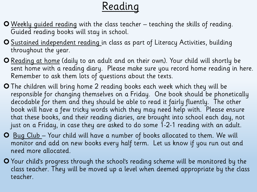### Reading

- Weekly guided reading with the class teacher teaching the skills of reading. Guided reading books will stay in school.
- O Sustained independent reading in class as part of Literacy Activities, building throughout the year.
- **O** Reading at home (daily to an adult and on their own). Your child will shortly be sent home with a reading diary. Please make sure you record home reading in here. Remember to ask them lots of questions about the texts.
- The children will bring home 2 reading books each week which they will be responsible for changing themselves on a Friday. One book should be phonetically decodable for them and they should be able to read it fairly fluently. The other book will have a few tricky words which they may need help with. Please ensure that these books, and their reading diaries, are brought into school each day, not just on a Friday, in case they are asked to do some 1-2-1 reading with an adult.
- **O** Bug Club Your child will have a number of books allocated to them. We will monitor and add on new books every half term. Let us know if you run out and need more allocated.
- Your child's progress through the school's reading scheme will be monitored by the class teacher. They will be moved up a level when deemed appropriate by the class teacher.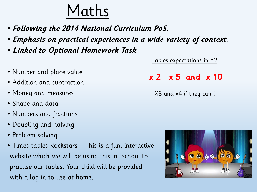### Maths

- **Following the 2014 National Curriculum PoS.**
- **Emphasis on practical experiences in a wide variety of context.**
- **Linked to Optional Homework Task**
- Number and place value
- Addition and subtraction
- Money and measures
- Shape and data
- Numbers and fractions
- Doubling and halving
- Problem solving
- Times tables Rockstars This is a fun, interactive website which we will be using this in school to practise our tables. Your child will be provided with a log in to use at home.

| <u>Tables expectations in Y2</u> |  |                         |  |  |  |  |  |
|----------------------------------|--|-------------------------|--|--|--|--|--|
|                                  |  | $x 2 x 5$ and $x 10$    |  |  |  |  |  |
|                                  |  | X3 and x4 if they can ! |  |  |  |  |  |

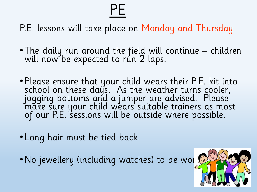# PE

P.E. lessons will take place on Monday and Thursday

- The daily run around the field will continue children will now be expected to run 2 laps.
- Please ensure that your child wears their P.E. kit into school on these days. As the weather turns cooler, jogging bottoms and a jumper are advised. Please make sure your child wears suitable trainers as most of our P.E. sessions will be outside where possible.
- Long hair must be tied back.
- No jewellery (including watches) to be wor

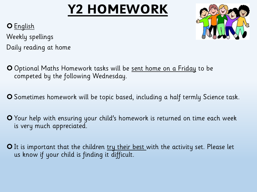### **Y2 HOMEWORK**



O English

Weekly spellings Daily reading at home

- Optional Maths Homework tasks will be sent home on a Friday to be competed by the following Wednesday.
- Sometimes homework will be topic based, including a half termly Science task.
- **O** Your help with ensuring your child's homework is returned on time each week is very much appreciated.
- O It is important that the children try their best with the activity set. Please let us know if your child is finding it difficult.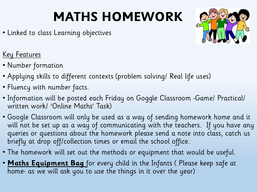### **MATHS HOMEWORK**

• Linked to class Learning objectives



#### Key Features

- Number formation
- Applying skills to different contexts (problem solving/ Real life uses)
- Fluency with number facts.
- Information will be posted each Friday on Goggle Classroom -Game/ Practical/ written work/ 'Online Maths' Task)
- Google Classroom will only be used as a way of sending homework home and it will not be set up as a way of communicating with the teachers. If you have any queries or questions about the homework please send a note into class, catch us briefly at drop off/collection times or email the school office.
- The homework will set out the methods or equipment that would be useful.
- **Maths Equipment Bag** for every child in the Infants ( Please keep safe at home- as we will ask you to use the things in it over the year)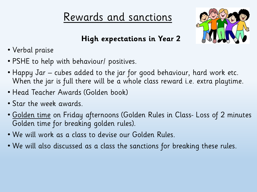#### Rewards and sanctions



**High expectations in Year 2**

- Verbal praise
- PSHE to help with behaviour/ positives.
- Happy Jar cubes added to the jar for good behaviour, hard work etc. When the jar is full there will be a whole class reward i.e. extra playtime.
- Head Teacher Awards (Golden book)
- Star the week awards.
- Golden time on Friday afternoons (Golden Rules in Class- Loss of 2 minutes Golden time for breaking golden rules).
- We will work as a class to devise our Golden Rules.
- We will also discussed as a class the sanctions for breaking these rules.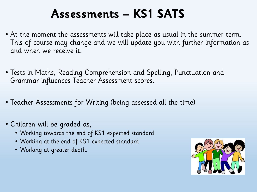#### **Assessments – KS1 SATS**

- At the moment the assessments will take place as usual in the summer term. This of course may change and we will update you with further information as and when we receive it.
- Tests in Maths, Reading Comprehension and Spelling, Punctuation and Grammar influences Teacher Assessment scores.
- Teacher Assessments for Writing (being assessed all the time)
- Children will be graded as,
	- Working towards the end of KS1 expected standard
	- Working at the end of KS1 expected standard
	- Working at greater depth.

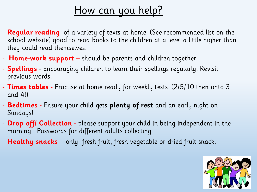#### <u>How can you help?</u>

- **Regular reading** -of a variety of texts at home. (See recommended list on the school website) good to read books to the children at a level a little higher than they could read themselves.
- **Home-work support –** should be parents and children together.
- **Spellings**  Encouraging children to learn their spellings regularly. Revisit previous words.
- **Times tables -** Practise at home ready for weekly tests. (2/5/10 then onto 3 and 4!)
- **Bedtimes -** Ensure your child gets **plenty of rest** and an early night on Sundays!
- **Drop off/ Collection -** please support your child in being independent in the morning. Passwords for different adults collecting.
- **Healthy snacks**  only fresh fruit, fresh vegetable or dried fruit snack.

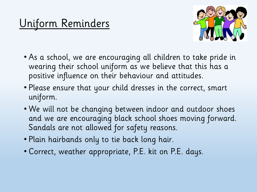### Uniform Reminders



- As a school, we are encouraging all children to take pride in wearing their school uniform as we believe that this has a positive influence on their behaviour and attitudes.
- Please ensure that your child dresses in the correct, smart uniform.
- We will not be changing between indoor and outdoor shoes and we are encouraging black school shoes moving forward. Sandals are not allowed for safety reasons.
- Plain hairbands only to tie back long hair.
- Correct, weather appropriate, P.E. kit on P.E. days.